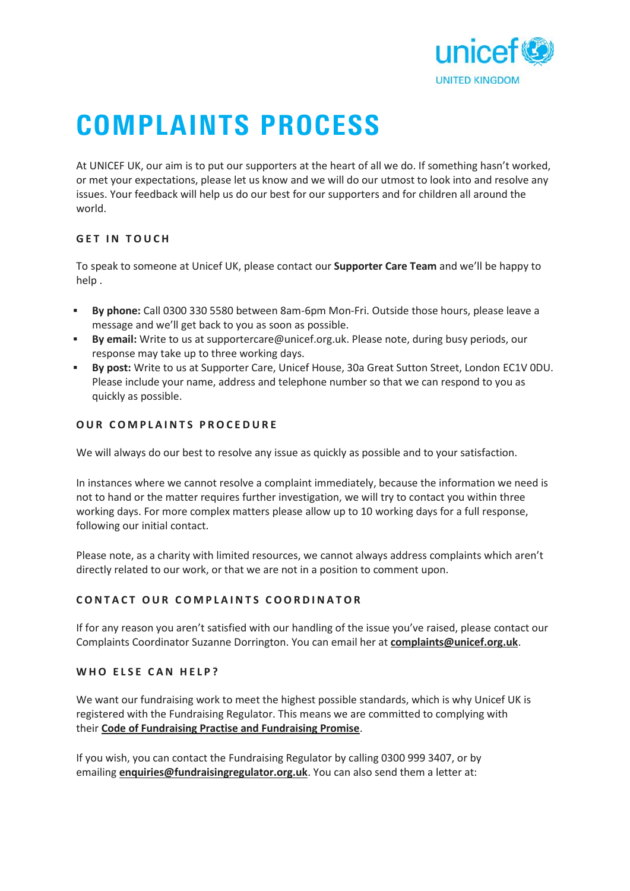

# **COMPLAINTS PROCESS**

At UNICEF UK, our aim is to put our supporters at the heart of all we do. If something hasn't worked, or met your expectations, please let us know and we will do our utmost to look into and resolve any issues. Your feedback will help us do our best for our supporters and for children all around the world. Free Strictly, says and the starting to pate starting<br>for met your expectations, please let us<br>issues. Your feedback will help us do of<br>world.<br>**GET IN TOUCH** 

To speak to someone at Unicef UK, please contact our **Supporter Care Team** and we'll be happy to help .

- **By phone:** Call 0300 330 5580 between 8am-6pm Mon-Fri. Outside those hours, please leave a message and we'll get back to you as soon as possible.
- **By email:** Write to us at supportercare@unicef.org.uk. Please note, during busy periods, our response may take up to three working days.
- **By post:** Write to us at Supporter Care, Unicef House, 30a Great Sutton Street, London EC1V 0DU. Please include your name, address and telephone number so that we can respond to you as quickly as possible. **By post:** Write to us at Supporter Care, Unicef House, 30a<br>Please include your name, address and telephone number<br>quickly as possible.<br>**OUR COMPLAINTS PROCEDURE**

We will always do our best to resolve any issue as quickly as possible and to your satisfaction.

In instances where we cannot resolve a complaint immediately, because the information we need is not to hand or the matter requires further investigation, we will try to contact you within three working days. For more complex matters please allow up to 10 working days for a full response, following our initial contact.

Please note, as a charity with limited resources, we cannot always address complaints which aren't directly related to our work, or that we are not in a position to comment upon. Please note, as a charity with limited resources, we cannot always address com<br>directly related to our work, or that we are not in a position to comment upon.<br>**CONTACT OUR COMPLAINTS COORDINATOR** 

If for any reason you aren't satisfied with our handling of the issue you've raised, please contact our COMPLAINTS COORDINATOR<br>
If for any reason you aren't satisfied with our handling of the issue you've raised, please contact ou<br>
Complaints Coordinator Suzanne Dorrington. You can email her at **complaints@unicef.org.uk**.<br>
W

We want our fundraising work to meet the highest possible standards, which is why Unicef UK is registered with the Fundraising Regulator. This means we are committed to complying with their **Code of Fundraising Practise and Fundraising Promise**.

If you wish, you can contact the Fundraising Regulator by calling 0300 999 3407, or by emailing **enquiries@fundraisingregulator.org.uk**. You can also send them a letter at: